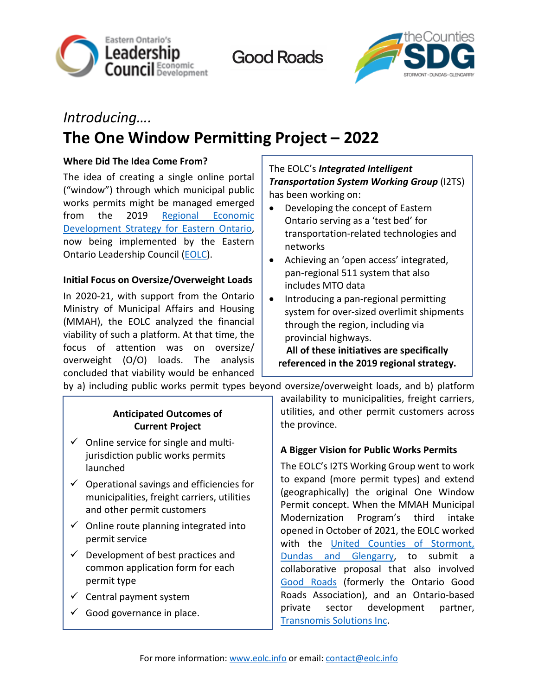

**Good Roads** 



# *Introducing….* **The One Window Permitting Project – 2022**

## **Where Did The Idea Come From?**

The idea of creating a single online portal ("window") through which municipal public works permits might be managed emerged from the 2019 [Regional Economic](http://www.eolc.info/en/eastern-ontario-eds/strategy-refresh-project-2019.aspx)  [Development Strategy for Eastern Ontario,](http://www.eolc.info/en/eastern-ontario-eds/strategy-refresh-project-2019.aspx) now being implemented by the Eastern Ontario Leadership Council [\(EOLC\)](http://www.eolc.info/).

### **Initial Focus on Oversize/Overweight Loads**

In 2020-21, with support from the Ontario Ministry of Municipal Affairs and Housing (MMAH), the EOLC analyzed the financial viability of such a platform. At that time, the focus of attention was on oversize/ overweight (O/O) loads. The analysis concluded that viability would be enhanced

# The EOLC's *Integrated Intelligent Transportation System Working Group* (I2TS) has been working on:

- Developing the concept of Eastern Ontario serving as a 'test bed' for transportation-related technologies and networks
- Achieving an 'open access' integrated, pan-regional 511 system that also includes MTO data
- Introducing a pan-regional permitting system for over-sized overlimit shipments through the region, including via provincial highways.

**All of these initiatives are specifically referenced in the 2019 regional strategy.**

by a) including public works permit types beyond oversize/overweight loads, and b) platform

## **Anticipated Outcomes of Current Project**

- $\checkmark$  Online service for single and multijurisdiction public works permits launched
- $\checkmark$  Operational savings and efficiencies for municipalities, freight carriers, utilities and other permit customers
- $\checkmark$  Online route planning integrated into permit service
- $\checkmark$  Development of best practices and common application form for each permit type
- $\checkmark$  Central payment system
- $\checkmark$  Good governance in place.

availability to municipalities, freight carriers, utilities, and other permit customers across the province.

### **A Bigger Vision for Public Works Permits**

The EOLC's I2TS Working Group went to work to expand (more permit types) and extend (geographically) the original One Window Permit concept. When the MMAH Municipal Modernization Program's third intake opened in October of 2021, the EOLC worked with the [United Counties of Stormont,](https://www.sdgcounties.ca/)  [Dundas and Glengarry,](https://www.sdgcounties.ca/) to submit a collaborative proposal that also involved [Good Roads](https://www.ogra.org/) (formerly the Ontario Good Roads Association), and an Ontario-based private sector development partner, [Transnomis Solutions Inc.](https://www.transnomis.com/)